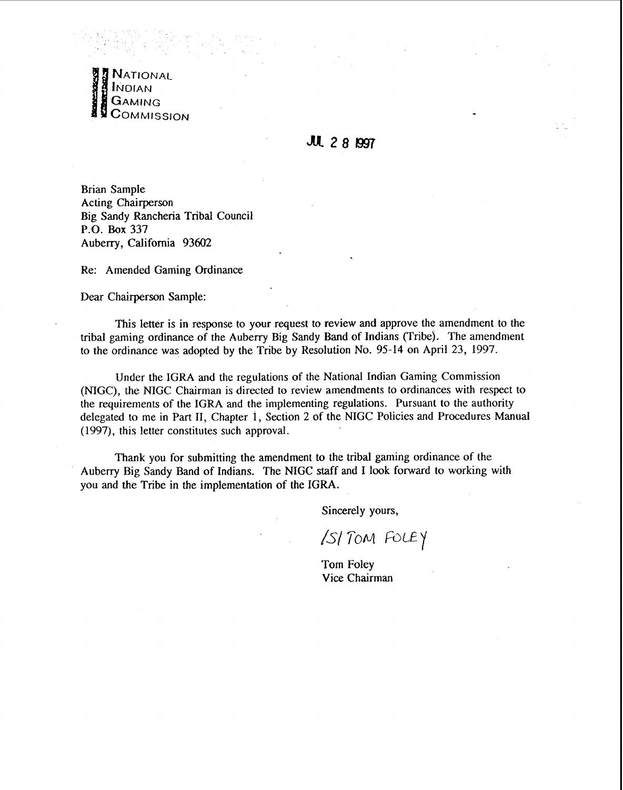

## JUL 28 1997

Brian Sample Acting Chairperson Big Sandy Rancheria Tribal Council **P.O. Box** 337 Auberry, California 93602

Re: Amended Gaming Ordinance

Dear Chairperson Sample:

This letter is in response to your request to review and approve the amendment to the tribal gaming ordinance of the Auberry Big Sandy Band of Indians (Tribe). The amendment to the ordinance was adopted by the Tribe by Resolution No. 95-14 on **April** 23, 1997.

Under the IGRA and the regulations of the National Indian Gaming Commission (NIGC), the NIGC Chairman is directed to review amendments to ordinances with respect to the requirements of the IGRA and the implementing regulations. Pursuant to the authority delegated to me in Part 11, Chapter 1, Section 2 of the NIGC Policies and Procedures Manual (1997), this letter constitutes such approval.

Thank you for submitting the amendment to the tribal gaming ordinance of the Aubeny Big Sandy Band of Indians. The NIGC **staff** and I look forward to working with you and the Tribe in the implementation of the IGRA.

Sincerely yours,

ISI TOM FOLEY

Tom Foley Vice Chairman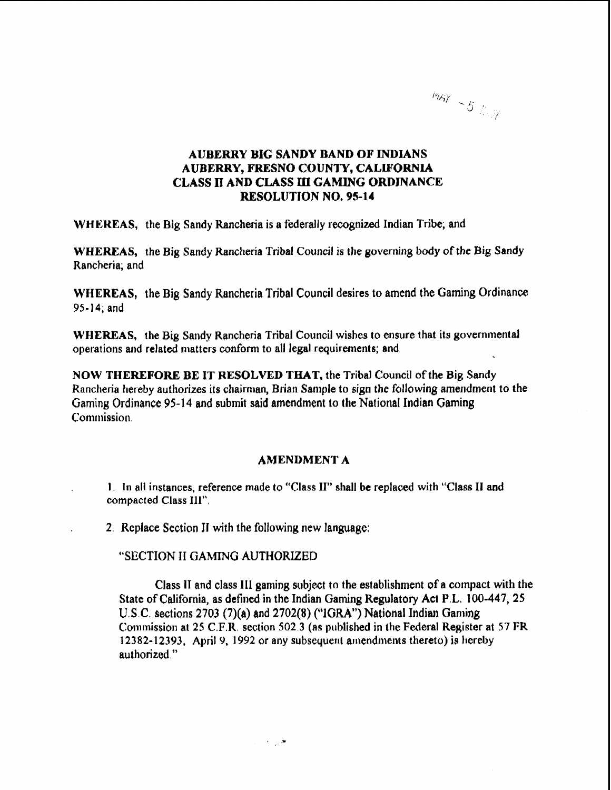

## **AUBERRY BIG SANDY BAND OF INDIANS AUBERRY, FRESNO COUNTY, CALLFQRNLA CLASS n AND CLASS m GAMING ORDINANCE RESOLUTION NO. 95-14**

**WHE'REAS,** the Big Sandy Kancheria is a federally recognized Indian **Tribe;** and

WHEREAS, the Big Sandy Rancheria Tribal Council is the governing body of the Big **Sandy**  Rancheria; and

**WHEREAS,** the Big Sandy Rancheria Tribal Council desires to amend the Gaming Ordinance 95- 14, and

WHEREAS, the Big **Sandy** Rancheria Tribal Council wishes to ensure that its governmental operations and related tnatters **conform** to all legal requirements; and

**NOW THEREFORE BE** IT **RESOLVED** THAT, the Tribal Council of the Big Sandy Rancheria hereby authorizes its chairman, Brian Sample to sign the following amendment to the **Gaming** Ordinance 95-14 and submit said amendment to the National Indian Gaming Commission.

## **AMENDMENT A**

**1.** In all instances, reference made to "Class 11" shall be replaced with "Class **I1** and **compacted** Class **Ill".** 

**2.** Replace Section **I1** with the following new language:

**"SECTION II GAMING AUTHORIZED** 

Class IT and class **111 gaming subject** to the establishment of a **wrnpact** with **the State of** California, **as defined** in the Indian Gaming Regulatory Act P.L. 100-447, 25 U.S.C. sections 2703 (7)(a) and 2702(8) ("IGRA") National Indian Gaming Commission at 25 **C.F.R,** section 502 3 (as published in the Federal Register at 57 FR 12382-12393, April 9, 1992 or any subsequent amendments thereto) is hereby **authorized."**